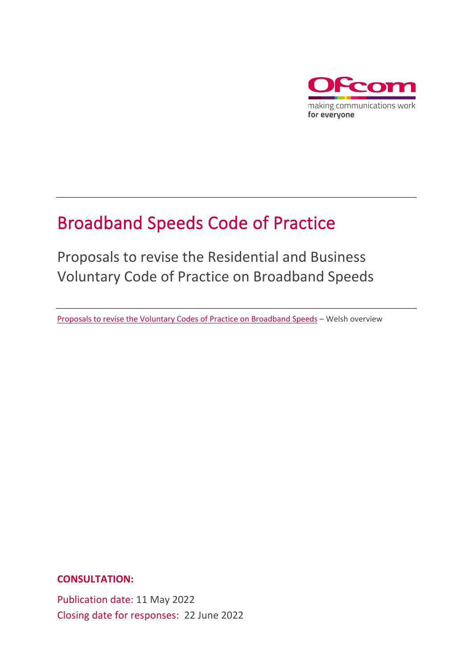

# Broadband Speeds Code of Practice

Proposals to revise the Residential and Business Voluntary Code of Practice on Broadband Speeds

[Proposals to revise the Voluntary Codes of Practice on Broadband Speeds](https://www.ofcom.org.uk/__data/assets/pdf_file/0025/237454/Cod-Ymarfer-Cyflymder-Band-Eang-Trosolwg.pdf) – Welsh overview

**CONSULTATION:**

Publication date: 11 May 2022 Closing date for responses: 22 June 2022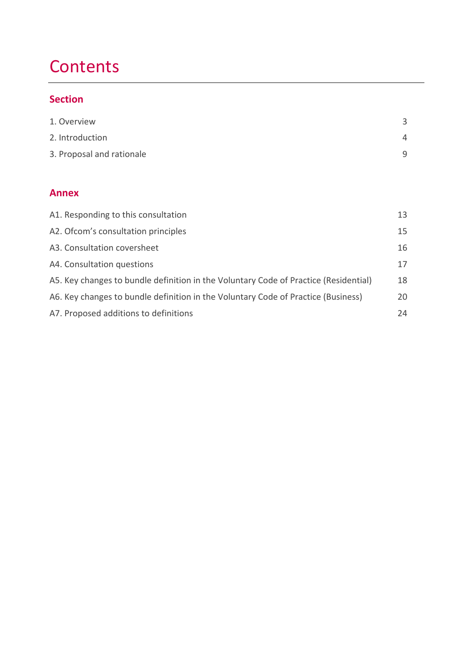## **Contents**

#### **Section**

| 1. Overview               |   |
|---------------------------|---|
| 2. Introduction           | 4 |
| 3. Proposal and rationale | q |

#### **Annex**

| A1. Responding to this consultation                                                  | 13 |
|--------------------------------------------------------------------------------------|----|
| A2. Ofcom's consultation principles                                                  | 15 |
| A3. Consultation coversheet                                                          | 16 |
| A4. Consultation questions                                                           | 17 |
| A5. Key changes to bundle definition in the Voluntary Code of Practice (Residential) | 18 |
| A6. Key changes to bundle definition in the Voluntary Code of Practice (Business)    | 20 |
| A7. Proposed additions to definitions                                                | 24 |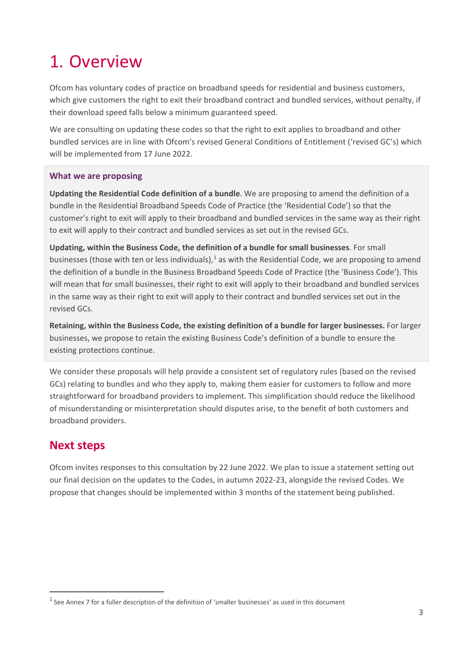## <span id="page-2-0"></span>1. Overview

Ofcom has voluntary codes of practice on broadband speeds for residential and business customers, which give customers the right to exit their broadband contract and bundled services, without penalty, if their download speed falls below a minimum guaranteed speed.

We are consulting on updating these codes so that the right to exit applies to broadband and other bundled services are in line with Ofcom's revised General Conditions of Entitlement ('revised GC's) which will be implemented from 17 June 2022.

#### **What we are proposing**

**Updating the Residential Code definition of a bundle**. We are proposing to amend the definition of a bundle in the Residential Broadband Speeds Code of Practice (the 'Residential Code') so that the customer's right to exit will apply to their broadband and bundled services in the same way as their right to exit will apply to their contract and bundled services as set out in the revised GCs.

**Updating, within the Business Code, the definition of a bundle for small businesses**. For small businesses (those with ten or less individuals), $<sup>1</sup>$  $<sup>1</sup>$  $<sup>1</sup>$  as with the Residential Code, we are proposing to amend</sup> the definition of a bundle in the Business Broadband Speeds Code of Practice (the 'Business Code'). This will mean that for small businesses, their right to exit will apply to their broadband and bundled services in the same way as their right to exit will apply to their contract and bundled services set out in the revised GCs.

**Retaining, within the Business Code, the existing definition of a bundle for larger businesses.** For larger businesses, we propose to retain the existing Business Code's definition of a bundle to ensure the existing protections continue.

We consider these proposals will help provide a consistent set of regulatory rules (based on the revised GCs) relating to bundles and who they apply to, making them easier for customers to follow and more straightforward for broadband providers to implement. This simplification should reduce the likelihood of misunderstanding or misinterpretation should disputes arise, to the benefit of both customers and broadband providers.

### **Next steps**

Ofcom invites responses to this consultation by 22 June 2022. We plan to issue a statement setting out our final decision on the updates to the Codes, in autumn 2022-23, alongside the revised Codes. We propose that changes should be implemented within 3 months of the statement being published.

<span id="page-2-1"></span> $1$  See Annex 7 for a fuller description of the definition of 'smaller businesses' as used in this document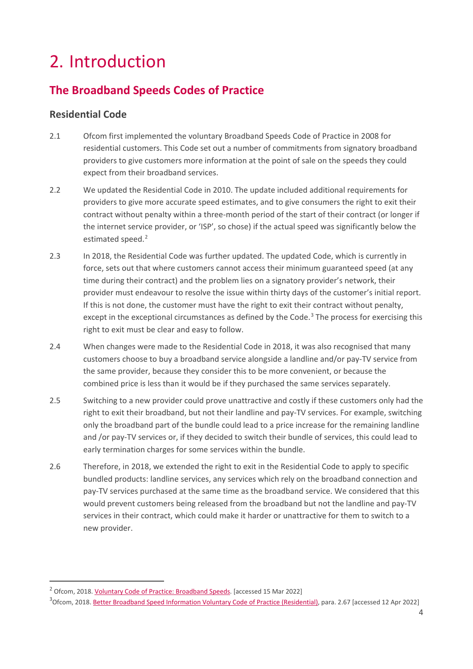## <span id="page-3-0"></span>2. Introduction

## **The Broadband Speeds Codes of Practice**

#### **Residential Code**

- 2.1 Ofcom first implemented the voluntary Broadband Speeds Code of Practice in 2008 for residential customers. This Code set out a number of commitments from signatory broadband providers to give customers more information at the point of sale on the speeds they could expect from their broadband services.
- 2.2 We updated the Residential Code in 2010. The update included additional requirements for providers to give more accurate speed estimates, and to give consumers the right to exit their contract without penalty within a three-month period of the start of their contract (or longer if the internet service provider, or 'ISP', so chose) if the actual speed was significantly below the estimated speed.<sup>[2](#page-3-1)</sup>
- 2.3 In 2018, the Residential Code was further updated. The updated Code, which is currently in force, sets out that where customers cannot access their minimum guaranteed speed (at any time during their contract) and the problem lies on a signatory provider's network, their provider must endeavour to resolve the issue within thirty days of the customer's initial report. If this is not done, the customer must have the right to exit their contract without penalty, except in the exceptional circumstances as defined by the Code. $3$  The process for exercising this right to exit must be clear and easy to follow.
- 2.4 When changes were made to the Residential Code in 2018, it was also recognised that many customers choose to buy a broadband service alongside a landline and/or pay-TV service from the same provider, because they consider this to be more convenient, or because the combined price is less than it would be if they purchased the same services separately.
- 2.5 Switching to a new provider could prove unattractive and costly if these customers only had the right to exit their broadband, but not their landline and pay-TV services. For example, switching only the broadband part of the bundle could lead to a price increase for the remaining landline and /or pay-TV services or, if they decided to switch their bundle of services, this could lead to early termination charges for some services within the bundle.
- 2.6 Therefore, in 2018, we extended the right to exit in the Residential Code to apply to specific bundled products: landline services, any services which rely on the broadband connection and pay-TV services purchased at the same time as the broadband service. We considered that this would prevent customers being released from the broadband but not the landline and pay-TV services in their contract, which could make it harder or unattractive for them to switch to a new provider.

<span id="page-3-1"></span><sup>&</sup>lt;sup>2</sup> Ofcom, 2018[. Voluntary Code of Practice: Broadband Speeds.](https://www.ofcom.org.uk/__data/assets/pdf_file/0030/85854/Broadband_Speeds_Code_2010.pdf) [accessed 15 Mar 2022]

<span id="page-3-2"></span><sup>&</sup>lt;sup>3</sup>Ofcom, 2018. <u>Better Broadband Speed Information Voluntary Code of Practice (Residential)</u>, para. 2.67 [accessed 12 Apr 2022]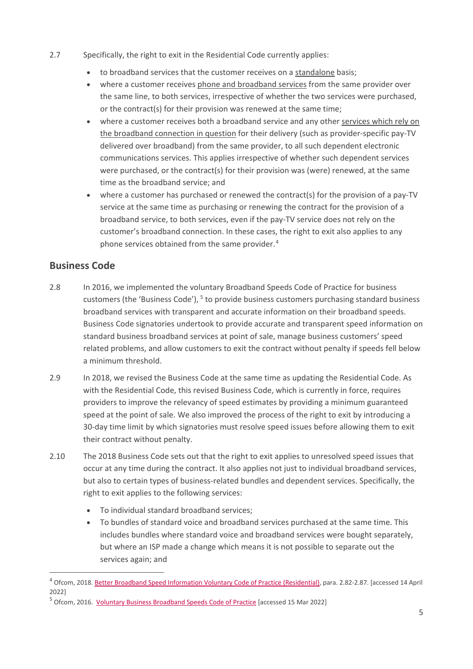- 2.7 Specifically, the right to exit in the Residential Code currently applies:
	- to broadband services that the customer receives on a standalone basis;
	- where a customer receives phone and broadband services from the same provider over the same line, to both services, irrespective of whether the two services were purchased, or the contract(s) for their provision was renewed at the same time;
	- where a customer receives both a broadband service and any other services which rely on the broadband connection in question for their delivery (such as provider-specific pay-TV delivered over broadband) from the same provider, to all such dependent electronic communications services. This applies irrespective of whether such dependent services were purchased, or the contract(s) for their provision was (were) renewed, at the same time as the broadband service; and
	- where a customer has purchased or renewed the contract(s) for the provision of a pay-TV service at the same time as purchasing or renewing the contract for the provision of a broadband service, to both services, even if the pay-TV service does not rely on the customer's broadband connection. In these cases, the right to exit also applies to any phone services obtained from the same provider.<sup>[4](#page-4-0)</sup>

#### **Business Code**

- 2.8 In 2016, we implemented the voluntary Broadband Speeds Code of Practice for business customers (the 'Business Code'), <sup>[5](#page-4-1)</sup> to provide business customers purchasing standard business broadband services with transparent and accurate information on their broadband speeds. Business Code signatories undertook to provide accurate and transparent speed information on standard business broadband services at point of sale, manage business customers' speed related problems, and allow customers to exit the contract without penalty if speeds fell below a minimum threshold.
- 2.9 In 2018, we revised the Business Code at the same time as updating the Residential Code. As with the Residential Code, this revised Business Code, which is currently in force, requires providers to improve the relevancy of speed estimates by providing a minimum guaranteed speed at the point of sale. We also improved the process of the right to exit by introducing a 30-day time limit by which signatories must resolve speed issues before allowing them to exit their contract without penalty.
- 2.10 The 2018 Business Code sets out that the right to exit applies to unresolved speed issues that occur at any time during the contract. It also applies not just to individual broadband services, but also to certain types of business-related bundles and dependent services. Specifically, the right to exit applies to the following services:
	- To individual standard broadband services;
	- To bundles of standard voice and broadband services purchased at the same time. This includes bundles where standard voice and broadband services were bought separately, but where an ISP made a change which means it is not possible to separate out the services again; and

<span id="page-4-0"></span><sup>4</sup> Ofcom, 2018[. Better Broadband Speed Information Voluntary Code of Practice \(Residential\),](https://www.ofcom.org.uk/__data/assets/pdf_file/0026/111698/statement-voluntary-code-practice-residential.pdf) para. 2.82-2.87. [accessed 14 April 2022]

<span id="page-4-1"></span><sup>&</sup>lt;sup>5</sup> Ofcom, 2016. [Voluntary Business Broadband Speeds Code of Practice](https://www.ofcom.org.uk/__data/assets/pdf_file/0034/85768/business_broadband_code_2016.pdf) [accessed 15 Mar 2022]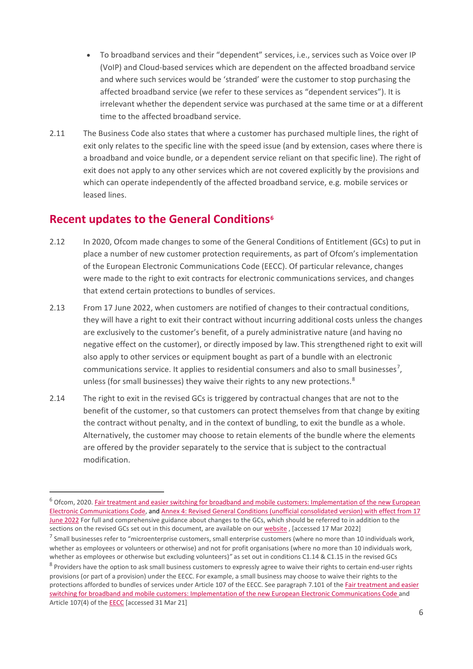- To broadband services and their "dependent" services, i.e., services such as Voice over IP (VoIP) and Cloud-based services which are dependent on the affected broadband service and where such services would be 'stranded' were the customer to stop purchasing the affected broadband service (we refer to these services as "dependent services"). It is irrelevant whether the dependent service was purchased at the same time or at a different time to the affected broadband service.
- 2.11 The Business Code also states that where a customer has purchased multiple lines, the right of exit only relates to the specific line with the speed issue (and by extension, cases where there is a broadband and voice bundle, or a dependent service reliant on that specific line). The right of exit does not apply to any other services which are not covered explicitly by the provisions and which can operate independently of the affected broadband service, e.g. mobile services or leased lines.

#### **Recent updates to the General Condition[s6](#page-5-0)**

- 2.12 In 2020, Ofcom made changes to some of the General Conditions of Entitlement (GCs) to put in place a number of new customer protection requirements, as part of Ofcom's implementation of the European Electronic Communications Code (EECC). Of particular relevance, changes were made to the right to exit contracts for electronic communications services, and changes that extend certain protections to bundles of services.
- 2.13 From 17 June 2022, when customers are notified of changes to their contractual conditions, they will have a right to exit their contract without incurring additional costs unless the changes are exclusively to the customer's benefit, of a purely administrative nature (and having no negative effect on the customer), or directly imposed by law. This strengthened right to exit will also apply to other services or equipment bought as part of a bundle with an electronic communications service. It applies to residential consumers and also to small businesses<sup>[7](#page-5-1)</sup>, unless (for small businesses) they waive their rights to any new protections.<sup>[8](#page-5-2)</sup>
- 2.14 The right to exit in the revised GCs is triggered by contractual changes that are not to the benefit of the customer, so that customers can protect themselves from that change by exiting the contract without penalty, and in the context of bundling, to exit the bundle as a whole. Alternatively, the customer may choose to retain elements of the bundle where the elements are offered by the provider separately to the service that is subject to the contractual modification.

<span id="page-5-2"></span><span id="page-5-1"></span><span id="page-5-0"></span> $6$  Ofcom, 2020. Fair treatment and easier switching for broadband and mobile customers: Implementation of the new European [Electronic Communications Code,](https://www.ofcom.org.uk/__data/assets/pdf_file/0023/204980/statement-eecc-revised-proposals.pdf) an[d Annex 4: Revised General Conditions \(unofficial consolidated version\) with effect from 17](https://www.ofcom.org.uk/__data/assets/pdf_file/0017/209501/annex-4-revised-gc-eecc-17-jun-22.pdf)  [June 2022 F](https://www.ofcom.org.uk/__data/assets/pdf_file/0017/209501/annex-4-revised-gc-eecc-17-jun-22.pdf)or full and comprehensive guidance about changes to the GCs, which should be referred to in addition to the sections on the revised GCs set out in this document, are available on ou[r website](https://www.ofcom.org.uk/consultations-and-statements/category-1/proposals-to-implement-new-eecc), [accessed 17 Mar 2022]  $^7$  Small businesses refer to "microenterprise customers, small enterprise customers (where no more than 10 individuals work, whether as employees or volunteers or otherwise) and not for profit organisations (where no more than 10 individuals work, whether as employees or otherwise but excluding volunteers)*"* as set out in conditions C1.14 & C1.15 in the revised GCs <sup>8</sup> Providers have the option to ask small business customers to expressly agree to waive their rights to certain end-user rights provisions (or part of a provision) under the EECC. For example, a small business may choose to waive their rights to the protections afforded to bundles of services under Article 107 of the EECC. See paragraph 7.101 of th[e Fair treatment and easier](https://www.ofcom.org.uk/__data/assets/pdf_file/0023/204980/statement-eecc-revised-proposals.pdf)  [switching for broadband and mobile customers: Implementation of the new European Electronic Communications Code](https://www.ofcom.org.uk/__data/assets/pdf_file/0023/204980/statement-eecc-revised-proposals.pdf) and Article 107(4) of th[e EECC](https://eur-lex.europa.eu/legal-content/EN/TXT/PDF/?uri=CELEX:32018L1972) [accessed 31 Mar 21]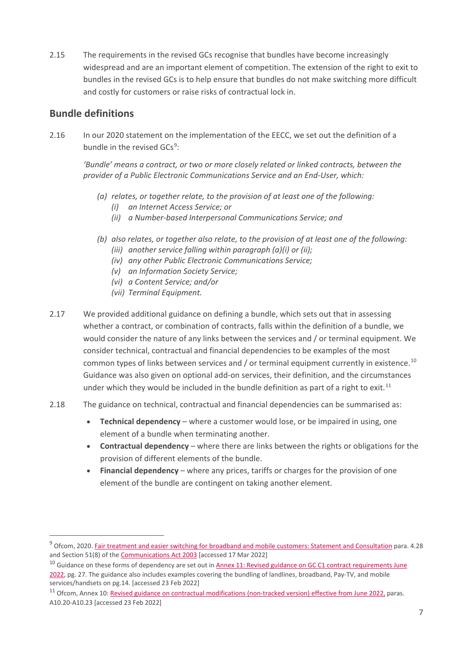2.15 The requirements in the revised GCs recognise that bundles have become increasingly widespread and are an important element of competition. The extension of the right to exit to bundles in the revised GCs is to help ensure that bundles do not make switching more difficult and costly for customers or raise risks of contractual lock in.

#### **Bundle definitions**

2.16 In our 2020 statement on the implementation of the EECC, we set out the definition of a bundle in the revised GCs<sup>[9](#page-6-0)</sup>:

*'Bundle' means a contract, or two or more closely related or linked contracts, between the provider of a Public Electronic Communications Service and an End-User, which:* 

- *(a) relates, or together relate, to the provision of at least one of the following:* 
	- *(i) an Internet Access Service; or*
	- *(ii) a Number-based Interpersonal Communications Service; and*
- *(b) also relates, or together also relate, to the provision of at least one of the following:* 
	- *(iii) another service falling within paragraph (a)(i) or (ii);*
	- *(iv) any other Public Electronic Communications Service;*
	- *(v) an Information Society Service;*
	- *(vi) a Content Service; and/or*
	- *(vii) Terminal Equipment.*
- 2.17 We provided additional guidance on defining a bundle, which sets out that in assessing whether a contract, or combination of contracts, falls within the definition of a bundle, we would consider the nature of any links between the services and / or terminal equipment. We consider technical, contractual and financial dependencies to be examples of the most common types of links between services and / or terminal equipment currently in existence.<sup>[10](#page-6-1)</sup> Guidance was also given on optional add-on services, their definition, and the circumstances under which they would be included in the bundle definition as part of a right to exit.<sup>[11](#page-6-2)</sup>
- 2.18 The guidance on technical, contractual and financial dependencies can be summarised as:
	- **Technical dependency** where a customer would lose, or be impaired in using, one element of a bundle when terminating another.
	- **Contractual dependency**  where there are links between the rights or obligations for the provision of different elements of the bundle.
	- **Financial dependency** where any prices, tariffs or charges for the provision of one element of the bundle are contingent on taking another element.

<span id="page-6-0"></span><sup>&</sup>lt;sup>9</sup> Ofcom, 2020. [Fair treatment and easier switching for broadband and mobile customers: Statement and Consultation](https://www.ofcom.org.uk/__data/assets/pdf_file/0023/204980/statement-eecc-revised-proposals.pdf) para. 4.28 and Section 51(8) of th[e Communications Act 2003](https://www.legislation.gov.uk/ukpga/2003/21/section/51#commentary-key-2e2e55a6e8b3ec1bde311fa15fd7a9be) [accessed 17 Mar 2022]

<span id="page-6-1"></span><sup>&</sup>lt;sup>10</sup> Guidance on these forms of dependency are set out in **Annex 11: Revised guidance on GC C1 contract requirements June** [2022,](https://www.ofcom.org.uk/__data/assets/pdf_file/0026/209537/annex-11-revised-guidance-gc-contract-requirements.pdf) pg. 27. The guidance also includes examples covering the bundling of landlines, broadband, Pay-TV, and mobile services/handsets on pg.14. [accessed 23 Feb 2022]

<span id="page-6-2"></span><sup>&</sup>lt;sup>11</sup> Ofcom, Annex 10: [Revised guidance on contractual modifications \(non-tracked version\) effective from June 2022,](https://www.ofcom.org.uk/__data/assets/pdf_file/0022/205672/eecc-annex-10-revised-guidance-contract-mods.pdf) paras. A10.20-A10.23 [accessed 23 Feb 2022]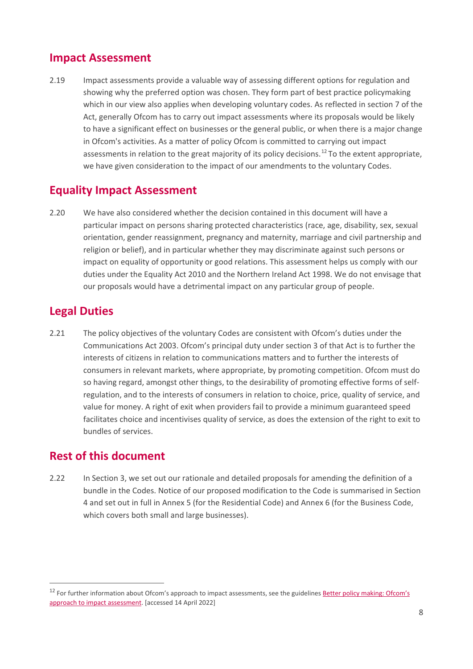#### **Impact Assessment**

2.19 Impact assessments provide a valuable way of assessing different options for regulation and showing why the preferred option was chosen. They form part of best practice policymaking which in our view also applies when developing voluntary codes. As reflected in section 7 of the Act, generally Ofcom has to carry out impact assessments where its proposals would be likely to have a significant effect on businesses or the general public, or when there is a major change in Ofcom's activities. As a matter of policy Ofcom is committed to carrying out impact assessments in relation to the great majority of its policy decisions.<sup>[12](#page-7-0)</sup> To the extent appropriate, we have given consideration to the impact of our amendments to the voluntary Codes.

### **Equality Impact Assessment**

2.20 We have also considered whether the decision contained in this document will have a particular impact on persons sharing protected characteristics (race, age, disability, sex, sexual orientation, gender reassignment, pregnancy and maternity, marriage and civil partnership and religion or belief), and in particular whether they may discriminate against such persons or impact on equality of opportunity or good relations. This assessment helps us comply with our duties under the Equality Act 2010 and the Northern Ireland Act 1998. We do not envisage that our proposals would have a detrimental impact on any particular group of people.

### **Legal Duties**

2.21 The policy objectives of the voluntary Codes are consistent with Ofcom's duties under the Communications Act 2003. Ofcom's principal duty under section 3 of that Act is to further the interests of citizens in relation to communications matters and to further the interests of consumers in relevant markets, where appropriate, by promoting competition. Ofcom must do so having regard, amongst other things, to the desirability of promoting effective forms of selfregulation, and to the interests of consumers in relation to choice, price, quality of service, and value for money. A right of exit when providers fail to provide a minimum guaranteed speed facilitates choice and incentivises quality of service, as does the extension of the right to exit to bundles of services.

### **Rest of this document**

2.22 In Section 3, we set out our rationale and detailed proposals for amending the definition of a bundle in the Codes. Notice of our proposed modification to the Code is summarised in Section 4 and set out in full in Annex 5 (for the Residential Code) and Annex 6 (for the Business Code, which covers both small and large businesses).

<span id="page-7-0"></span><sup>&</sup>lt;sup>12</sup> For further information about Ofcom's approach to impact assessments, see the guidelines Better policy making: Ofcom's [approach to impact assessment.](https://www.ofcom.org.uk/consultations-and-statements/category-1/ia_guidelines) [accessed 14 April 2022]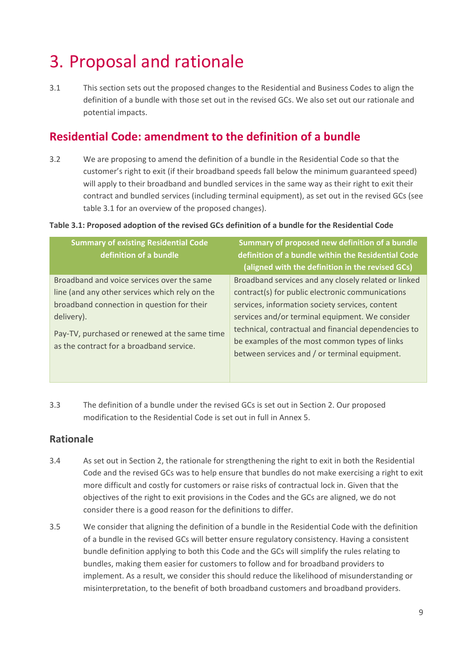## <span id="page-8-0"></span>3. Proposal and rationale

3.1 This section sets out the proposed changes to the Residential and Business Codes to align the definition of a bundle with those set out in the revised GCs. We also set out our rationale and potential impacts.

### **Residential Code: amendment to the definition of a bundle**

3.2 We are proposing to amend the definition of a bundle in the Residential Code so that the customer's right to exit (if their broadband speeds fall below the minimum guaranteed speed) will apply to their broadband and bundled services in the same way as their right to exit their contract and bundled services (including terminal equipment), as set out in the revised GCs (see table 3.1 for an overview of the proposed changes).

#### **Table 3.1: Proposed adoption of the revised GCs definition of a bundle for the Residential Code**

| <b>Summary of existing Residential Code</b><br>definition of a bundle                     | Summary of proposed new definition of a bundle<br>definition of a bundle within the Residential Code<br>(aligned with the definition in the revised GCs) |
|-------------------------------------------------------------------------------------------|----------------------------------------------------------------------------------------------------------------------------------------------------------|
| Broadband and voice services over the same                                                | Broadband services and any closely related or linked                                                                                                     |
| line (and any other services which rely on the                                            | contract(s) for public electronic communications                                                                                                         |
| broadband connection in question for their                                                | services, information society services, content                                                                                                          |
| delivery).                                                                                | services and/or terminal equipment. We consider                                                                                                          |
| Pay-TV, purchased or renewed at the same time<br>as the contract for a broadband service. | technical, contractual and financial dependencies to<br>be examples of the most common types of links<br>between services and / or terminal equipment.   |

3.3 The definition of a bundle under the revised GCs is set out in Section 2. Our proposed modification to the Residential Code is set out in full in Annex 5.

#### **Rationale**

- 3.4 As set out in Section 2, the rationale for strengthening the right to exit in both the Residential Code and the revised GCs was to help ensure that bundles do not make exercising a right to exit more difficult and costly for customers or raise risks of contractual lock in. Given that the objectives of the right to exit provisions in the Codes and the GCs are aligned, we do not consider there is a good reason for the definitions to differ.
- 3.5 We consider that aligning the definition of a bundle in the Residential Code with the definition of a bundle in the revised GCs will better ensure regulatory consistency. Having a consistent bundle definition applying to both this Code and the GCs will simplify the rules relating to bundles, making them easier for customers to follow and for broadband providers to implement. As a result, we consider this should reduce the likelihood of misunderstanding or misinterpretation, to the benefit of both broadband customers and broadband providers.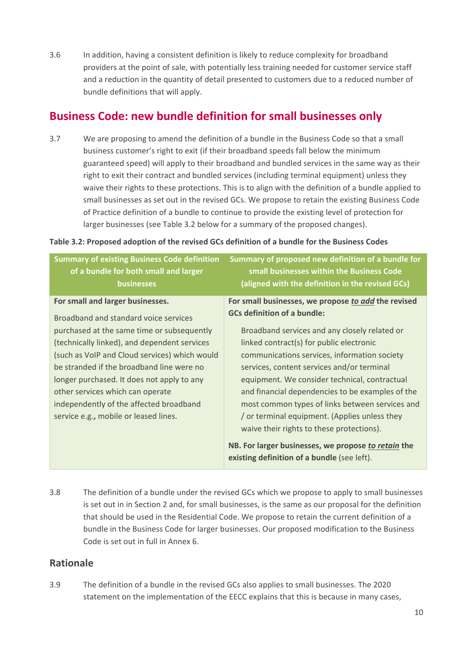3.6 In addition, having a consistent definition is likely to reduce complexity for broadband providers at the point of sale, with potentially less training needed for customer service staff and a reduction in the quantity of detail presented to customers due to a reduced number of bundle definitions that will apply.

### **Business Code: new bundle definition for small businesses only**

3.7 We are proposing to amend the definition of a bundle in the Business Code so that a small business customer's right to exit (if their broadband speeds fall below the minimum guaranteed speed) will apply to their broadband and bundled services in the same way as their right to exit their contract and bundled services (including terminal equipment) unless they waive their rights to these protections. This is to align with the definition of a bundle applied to small businesses as set out in the revised GCs. We propose to retain the existing Business Code of Practice definition of a bundle to continue to provide the existing level of protection for larger businesses (see Table 3.2 below for a summary of the proposed changes).

|  | Table 3.2: Proposed adoption of the revised GCs definition of a bundle for the Business Codes |  |
|--|-----------------------------------------------------------------------------------------------|--|
|  |                                                                                               |  |

| <b>Summary of existing Business Code definition</b><br>of a bundle for both small and larger<br>businesses                                                                                                                                                                                                                                                                                                                                  | Summary of proposed new definition of a bundle for<br>small businesses within the Business Code<br>(aligned with the definition in the revised GCs)                                                                                                                                                                                                                                                                                                                                                                                                                                             |
|---------------------------------------------------------------------------------------------------------------------------------------------------------------------------------------------------------------------------------------------------------------------------------------------------------------------------------------------------------------------------------------------------------------------------------------------|-------------------------------------------------------------------------------------------------------------------------------------------------------------------------------------------------------------------------------------------------------------------------------------------------------------------------------------------------------------------------------------------------------------------------------------------------------------------------------------------------------------------------------------------------------------------------------------------------|
| For small and larger businesses.<br>Broadband and standard voice services<br>purchased at the same time or subsequently<br>(technically linked), and dependent services<br>(such as VoIP and Cloud services) which would<br>be stranded if the broadband line were no<br>longer purchased. It does not apply to any<br>other services which can operate<br>independently of the affected broadband<br>service e.g., mobile or leased lines. | For small businesses, we propose to add the revised<br><b>GCs definition of a bundle:</b><br>Broadband services and any closely related or<br>linked contract(s) for public electronic<br>communications services, information society<br>services, content services and/or terminal<br>equipment. We consider technical, contractual<br>and financial dependencies to be examples of the<br>most common types of links between services and<br>or terminal equipment. (Applies unless they<br>waive their rights to these protections).<br>NB. For larger businesses, we propose to retain the |
|                                                                                                                                                                                                                                                                                                                                                                                                                                             | existing definition of a bundle (see left).                                                                                                                                                                                                                                                                                                                                                                                                                                                                                                                                                     |

3.8 The definition of a bundle under the revised GCs which we propose to apply to small businesses is set out in in Section 2 and, for small businesses, is the same as our proposal for the definition that should be used in the Residential Code. We propose to retain the current definition of a bundle in the Business Code for larger businesses. Our proposed modification to the Business Code is set out in full in Annex 6.

#### **Rationale**

3.9 The definition of a bundle in the revised GCs also applies to small businesses. The 2020 statement on the implementation of the EECC explains that this is because in many cases,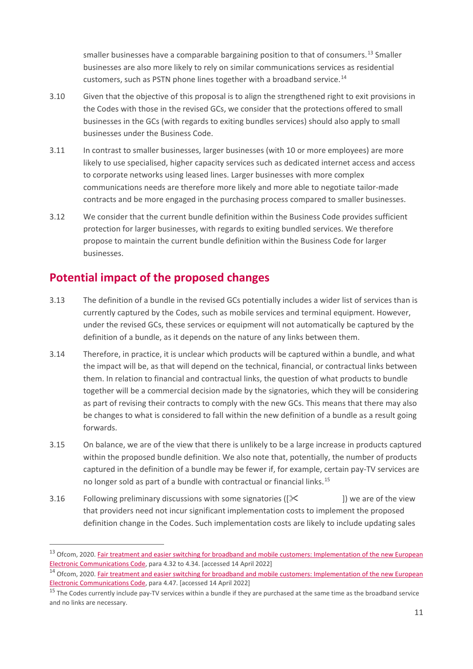smaller businesses have a comparable bargaining position to that of consumers.<sup>13</sup> Smaller businesses are also more likely to rely on similar communications services as residential customers, such as PSTN phone lines together with a broadband service.<sup>[14](#page-10-1)</sup>

- 3.10 Given that the objective of this proposal is to align the strengthened right to exit provisions in the Codes with those in the revised GCs, we consider that the protections offered to small businesses in the GCs (with regards to exiting bundles services) should also apply to small businesses under the Business Code.
- 3.11 In contrast to smaller businesses, larger businesses (with 10 or more employees) are more likely to use specialised, higher capacity services such as dedicated internet access and access to corporate networks using leased lines. Larger businesses with more complex communications needs are therefore more likely and more able to negotiate tailor-made contracts and be more engaged in the purchasing process compared to smaller businesses.
- 3.12 We consider that the current bundle definition within the Business Code provides sufficient protection for larger businesses, with regards to exiting bundled services. We therefore propose to maintain the current bundle definition within the Business Code for larger businesses.

## **Potential impact of the proposed changes**

- 3.13 The definition of a bundle in the revised GCs potentially includes a wider list of services than is currently captured by the Codes, such as mobile services and terminal equipment. However, under the revised GCs, these services or equipment will not automatically be captured by the definition of a bundle, as it depends on the nature of any links between them.
- 3.14 Therefore, in practice, it is unclear which products will be captured within a bundle, and what the impact will be, as that will depend on the technical, financial, or contractual links between them. In relation to financial and contractual links, the question of what products to bundle together will be a commercial decision made by the signatories, which they will be considering as part of revising their contracts to comply with the new GCs. This means that there may also be changes to what is considered to fall within the new definition of a bundle as a result going forwards.
- 3.15 On balance, we are of the view that there is unlikely to be a large increase in products captured within the proposed bundle definition. We also note that, potentially, the number of products captured in the definition of a bundle may be fewer if, for example, certain pay-TV services are no longer sold as part of a bundle with contractual or financial links.<sup>15</sup>
- 3.16 Following preliminary discussions with some signatories ( $\ll$  ) we are of the view that providers need not incur significant implementation costs to implement the proposed definition change in the Codes. Such implementation costs are likely to include updating sales

<span id="page-10-0"></span><sup>&</sup>lt;sup>13</sup> Ofcom, 2020. Fair treatment and easier switching for broadband and mobile customers: Implementation of the new European Electronic Communications Code, para 4.32 to 4.34. [accessed 14 April 2022]<br><sup>14</sup> Ofcom, 2020. Fair treatment and easier switching for broadband and mobile customers: Implementation of the new European

<span id="page-10-1"></span>[Electronic Communications Code,](https://www.ofcom.org.uk/__data/assets/pdf_file/0023/204980/statement-eecc-revised-proposals.pdf) para 4.47. [accessed 14 April 2022]

<span id="page-10-2"></span><sup>&</sup>lt;sup>15</sup> The Codes currently include pay-TV services within a bundle if they are purchased at the same time as the broadband service and no links are necessary.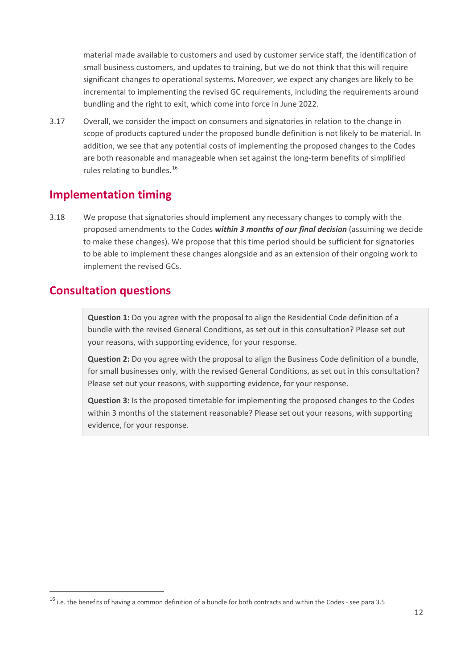material made available to customers and used by customer service staff, the identification of small business customers, and updates to training, but we do not think that this will require significant changes to operational systems. Moreover, we expect any changes are likely to be incremental to implementing the revised GC requirements, including the requirements around bundling and the right to exit, which come into force in June 2022.

3.17 Overall, we consider the impact on consumers and signatories in relation to the change in scope of products captured under the proposed bundle definition is not likely to be material. In addition, we see that any potential costs of implementing the proposed changes to the Codes are both reasonable and manageable when set against the long-term benefits of simplified rules relating to bundles.<sup>16</sup>

#### **Implementation timing**

3.18 We propose that signatories should implement any necessary changes to comply with the proposed amendments to the Codes *within 3 months of our final decision* (assuming we decide to make these changes). We propose that this time period should be sufficient for signatories to be able to implement these changes alongside and as an extension of their ongoing work to implement the revised GCs.

#### **Consultation questions**

**Question 1:** Do you agree with the proposal to align the Residential Code definition of a bundle with the revised General Conditions, as set out in this consultation? Please set out your reasons, with supporting evidence, for your response.

**Question 2:** Do you agree with the proposal to align the Business Code definition of a bundle, for small businesses only, with the revised General Conditions, as set out in this consultation? Please set out your reasons, with supporting evidence, for your response.

**Question 3:** Is the proposed timetable for implementing the proposed changes to the Codes within 3 months of the statement reasonable? Please set out your reasons, with supporting evidence, for your response.

<span id="page-11-0"></span> $16$  i.e. the benefits of having a common definition of a bundle for both contracts and within the Codes - see para 3.5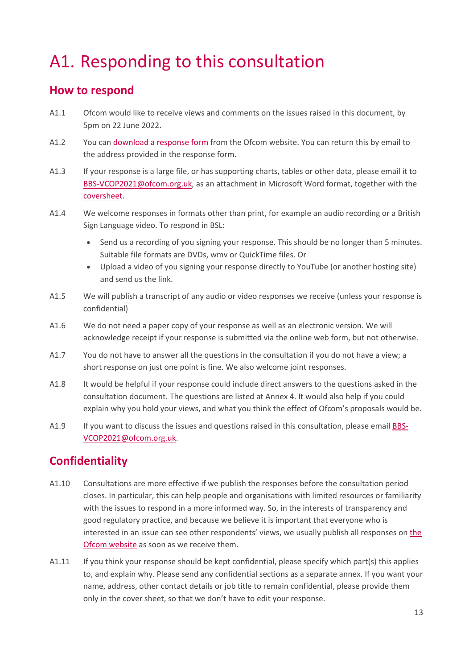# <span id="page-12-0"></span>A1. Responding to this consultation

#### **How to respond**

- A1.1 Ofcom would like to receive views and comments on the issues raised in this document, by 5pm on 22 June 2022.
- A1.2 You can [download a response form](https://www.ofcom.org.uk/consultations-and-statements/category-2/consultation-updating-and-clarifying-customers-right-to-exit-contracts-for-broadband-services) from the Ofcom website. You can return this by email to the address provided in the response form.
- A1.3 If your response is a large file, or has supporting charts, tables or other data, please email it to BBS-VCOP2021[@ofcom.or](mailto:BBS-VCOP2021@ofcom.org.uk)g.uk, as an attachment in Microsoft Word format, together with [the](https://www.ofcom.org.uk/consultations-and-statements/consultation-response-coversheet)  [coversheet.](https://www.ofcom.org.uk/consultations-and-statements/consultation-response-coversheet)
- A1.4 We welcome responses in formats other than print, for example an audio recording or a British Sign Language video. To respond in BSL:
	- Send us a recording of you signing your response. This should be no longer than 5 minutes. Suitable file formats are DVDs, wmv or QuickTime files. Or
	- Upload a video of you signing your response directly to YouTube (or another hosting site) and send us the link.
- A1.5 We will publish a transcript of any audio or video responses we receive (unless your response is confidential)
- A1.6 We do not need a paper copy of your response as well as an electronic version. We will acknowledge receipt if your response is submitted via the online web form, but not otherwise.
- A1.7 You do not have to answer all the questions in the consultation if you do not have a view; a short response on just one point is fine. We also welcome joint responses.
- A1.8 It would be helpful if your response could include direct answers to the questions asked in the consultation document. The questions are listed at Annex 4. It would also help if you could explain why you hold your views, and what you think the effect of Ofcom's proposals would be.
- A1.9 If you want to discuss the issues and questions raised in this consultation, please email [BBS-](mailto:BBS-VCOP2021@ofcom.org.uk)[VCOP2021@ofcom.org.uk.](mailto:BBS-VCOP2021@ofcom.org.uk)

## **Confidentiality**

- A1.10 Consultations are more effective if we publish the responses before the consultation period closes. In particular, this can help people and organisations with limited resources or familiarity with the issues to respond in a more informed way. So, in the interests of transparency and good regulatory practice, and because we believe it is important that everyone who is interested in an issue can see other respondents' views, we usually publish all responses on [the](http://www.ofcom.org.uk/)  [Ofcom website](http://www.ofcom.org.uk/) as soon as we receive them.
- A1.11 If you think your response should be kept confidential, please specify which part(s) this applies to, and explain why. Please send any confidential sections as a separate annex. If you want your name, address, other contact details or job title to remain confidential, please provide them only in the cover sheet, so that we don't have to edit your response.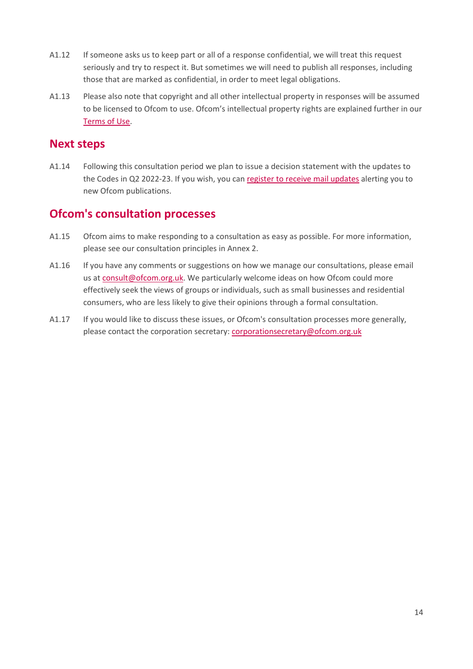- A1.12 If someone asks us to keep part or all of a response confidential, we will treat this request seriously and try to respect it. But sometimes we will need to publish all responses, including those that are marked as confidential, in order to meet legal obligations.
- A1.13 Please also note that copyright and all other intellectual property in responses will be assumed to be licensed to Ofcom to use. Ofcom's intellectual property rights are explained further in our [Terms of Use.](https://www.ofcom.org.uk/about-ofcom/website/terms-of-use)

#### **Next steps**

A1.14 Following this consultation period we plan to issue a decision statement with the updates to the Codes in Q2 2022-23. If you wish, you can [register to receive mail updates](https://www.ofcom.org.uk/about-ofcom/latest/email-updates) alerting you to new Ofcom publications.

### **Ofcom's consultation processes**

- A1.15 Ofcom aims to make responding to a consultation as easy as possible. For more information, please see our consultation principles in Annex 2.
- A1.16 If you have any comments or suggestions on how we manage our consultations, please email us at [consult@ofcom.org.uk.](mailto:consult@ofcom.org.uk) We particularly welcome ideas on how Ofcom could more effectively seek the views of groups or individuals, such as small businesses and residential consumers, who are less likely to give their opinions through a formal consultation.
- A1.17 If you would like to discuss these issues, or Ofcom's consultation processes more generally, please contact the corporation secretary: [corporationsecretary@ofcom.org.uk](mailto:corporationsecretary@ofcom.org.uk)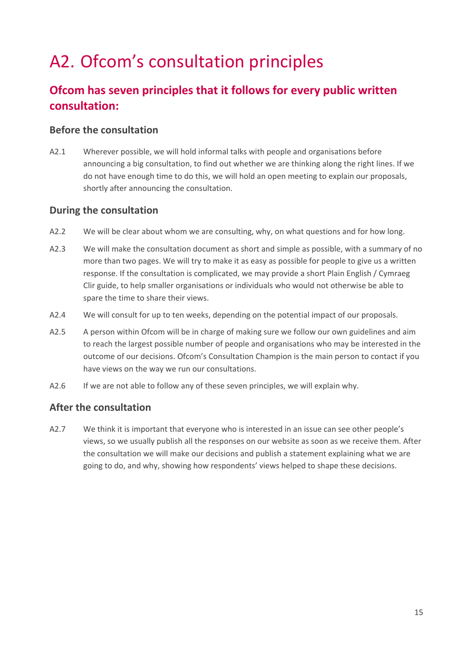# <span id="page-14-0"></span>A2. Ofcom's consultation principles

## **Ofcom has seven principles that it follows for every public written consultation:**

#### **Before the consultation**

A2.1 Wherever possible, we will hold informal talks with people and organisations before announcing a big consultation, to find out whether we are thinking along the right lines. If we do not have enough time to do this, we will hold an open meeting to explain our proposals, shortly after announcing the consultation.

#### **During the consultation**

- A2.2 We will be clear about whom we are consulting, why, on what questions and for how long.
- A2.3 We will make the consultation document as short and simple as possible, with a summary of no more than two pages. We will try to make it as easy as possible for people to give us a written response. If the consultation is complicated, we may provide a short Plain English / Cymraeg Clir guide, to help smaller organisations or individuals who would not otherwise be able to spare the time to share their views.
- A2.4 We will consult for up to ten weeks, depending on the potential impact of our proposals.
- A2.5 A person within Ofcom will be in charge of making sure we follow our own guidelines and aim to reach the largest possible number of people and organisations who may be interested in the outcome of our decisions. Ofcom's Consultation Champion is the main person to contact if you have views on the way we run our consultations.
- A2.6 If we are not able to follow any of these seven principles, we will explain why.

#### **After the consultation**

A2.7 We think it is important that everyone who is interested in an issue can see other people's views, so we usually publish all the responses on our website as soon as we receive them. After the consultation we will make our decisions and publish a statement explaining what we are going to do, and why, showing how respondents' views helped to shape these decisions.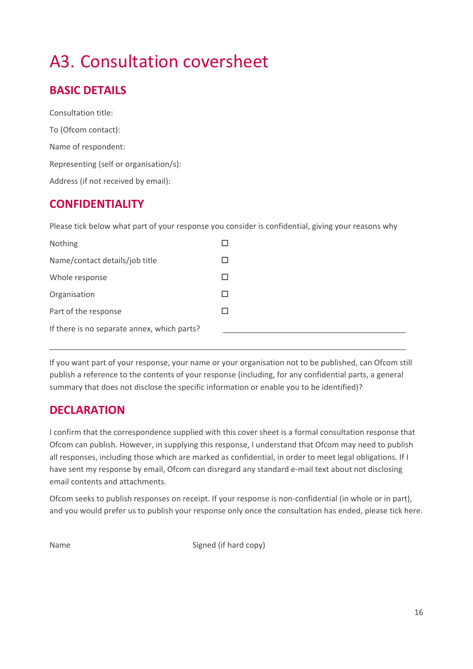# <span id="page-15-0"></span>A3. Consultation coversheet

## **BASIC DETAILS**

Consultation title: To (Ofcom contact): Name of respondent: Representing (self or organisation/s): Address (if not received by email):

### **CONFIDENTIALITY**

Please tick below what part of your response you consider is confidential, giving your reasons why

| Nothing                                     |   |
|---------------------------------------------|---|
| Name/contact details/job title              |   |
| Whole response                              |   |
| Organisation                                | П |
| Part of the response                        |   |
| If there is no separate annex, which parts? |   |

If you want part of your response, your name or your organisation not to be published, can Ofcom still publish a reference to the contents of your response (including, for any confidential parts, a general summary that does not disclose the specific information or enable you to be identified)?

\_\_\_\_\_\_\_\_\_\_\_\_\_\_\_\_\_\_\_\_\_\_\_\_\_\_\_\_\_\_\_\_\_\_\_\_\_\_\_\_\_\_\_\_\_\_\_\_\_\_\_\_\_\_\_\_\_\_\_\_\_\_\_\_\_\_\_\_\_\_\_\_\_\_\_\_\_\_\_\_\_\_

### **DECLARATION**

I confirm that the correspondence supplied with this cover sheet is a formal consultation response that Ofcom can publish. However, in supplying this response, I understand that Ofcom may need to publish all responses, including those which are marked as confidential, in order to meet legal obligations. If I have sent my response by email, Ofcom can disregard any standard e-mail text about not disclosing email contents and attachments.

Ofcom seeks to publish responses on receipt. If your response is non-confidential (in whole or in part), and you would prefer us to publish your response only once the consultation has ended, please tick here.

Name Signed (if hard copy)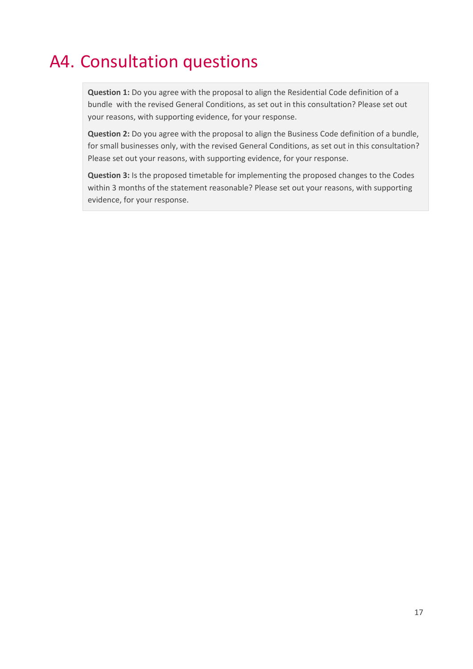## <span id="page-16-0"></span>A4. Consultation questions

**Question 1:** Do you agree with the proposal to align the Residential Code definition of a bundle with the revised General Conditions, as set out in this consultation? Please set out your reasons, with supporting evidence, for your response.

**Question 2:** Do you agree with the proposal to align the Business Code definition of a bundle, for small businesses only, with the revised General Conditions, as set out in this consultation? Please set out your reasons, with supporting evidence, for your response.

**Question 3:** Is the proposed timetable for implementing the proposed changes to the Codes within 3 months of the statement reasonable? Please set out your reasons, with supporting evidence, for your response.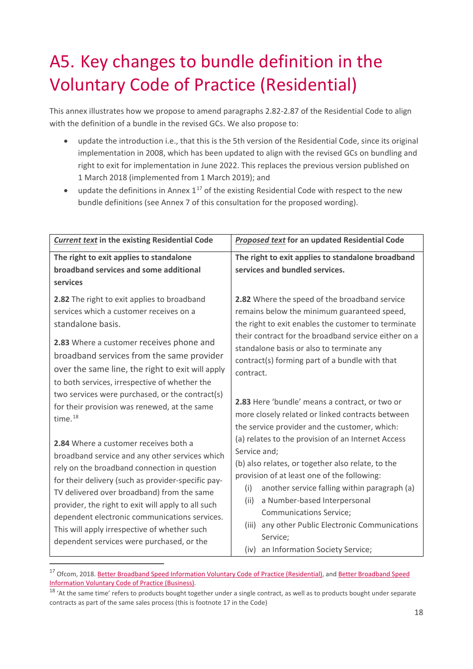# <span id="page-17-0"></span>A5. Key changes to bundle definition in the Voluntary Code of Practice (Residential)

This annex illustrates how we propose to amend paragraphs 2.82-2.87 of the Residential Code to align with the definition of a bundle in the revised GCs. We also propose to:

- update the introduction i.e., that this is the 5th version of the Residential Code, since its original implementation in 2008, which has been updated to align with the revised GCs on bundling and right to exit for implementation in June 2022. This replaces the previous version published on 1 March 2018 (implemented from 1 March 2019); and
- update the definitions in Annex  $1^{17}$  $1^{17}$  $1^{17}$  of the existing Residential Code with respect to the new bundle definitions (see Annex 7 of this consultation for the proposed wording).

| <b>Current text in the existing Residential Code</b>                                                                                                                                                                                                                                                                                                                                                                                            | <b>Proposed text for an updated Residential Code</b>                                                                                                                                                                                                                                                                                                                                                            |  |  |
|-------------------------------------------------------------------------------------------------------------------------------------------------------------------------------------------------------------------------------------------------------------------------------------------------------------------------------------------------------------------------------------------------------------------------------------------------|-----------------------------------------------------------------------------------------------------------------------------------------------------------------------------------------------------------------------------------------------------------------------------------------------------------------------------------------------------------------------------------------------------------------|--|--|
| The right to exit applies to standalone<br>broadband services and some additional<br>services                                                                                                                                                                                                                                                                                                                                                   | The right to exit applies to standalone broadband<br>services and bundled services.                                                                                                                                                                                                                                                                                                                             |  |  |
| 2.82 The right to exit applies to broadband<br>services which a customer receives on a<br>standalone basis.<br>2.83 Where a customer receives phone and<br>broadband services from the same provider<br>over the same line, the right to exit will apply<br>to both services, irrespective of whether the<br>two services were purchased, or the contract(s)                                                                                    | 2.82 Where the speed of the broadband service<br>remains below the minimum guaranteed speed,<br>the right to exit enables the customer to terminate<br>their contract for the broadband service either on a<br>standalone basis or also to terminate any<br>contract(s) forming part of a bundle with that<br>contract.                                                                                         |  |  |
| for their provision was renewed, at the same<br>time. <sup>18</sup>                                                                                                                                                                                                                                                                                                                                                                             | 2.83 Here 'bundle' means a contract, or two or<br>more closely related or linked contracts between<br>the service provider and the customer, which:                                                                                                                                                                                                                                                             |  |  |
| 2.84 Where a customer receives both a<br>broadband service and any other services which<br>rely on the broadband connection in question<br>for their delivery (such as provider-specific pay-<br>TV delivered over broadband) from the same<br>provider, the right to exit will apply to all such<br>dependent electronic communications services.<br>This will apply irrespective of whether such<br>dependent services were purchased, or the | (a) relates to the provision of an Internet Access<br>Service and;<br>(b) also relates, or together also relate, to the<br>provision of at least one of the following:<br>another service falling within paragraph (a)<br>(i)<br>a Number-based Interpersonal<br>(ii)<br><b>Communications Service;</b><br>(iii) any other Public Electronic Communications<br>Service;<br>(iv) an Information Society Service; |  |  |

<span id="page-17-1"></span><sup>&</sup>lt;sup>17</sup> Ofcom, 2018. [Better Broadband Speed Information Voluntary Code of Practice \(Residential\),](https://www.ofcom.org.uk/__data/assets/pdf_file/0026/111698/statement-voluntary-code-practice-residential.pdf) and Better Broadband Speed Information Voluntary Code of Practice (Business).<br><sup>18</sup> 'At the same time' refers to products bought together under a single contract, as well as to products bought under separate

<span id="page-17-2"></span>contracts as part of the same sales process (this is footnote 17 in the Code)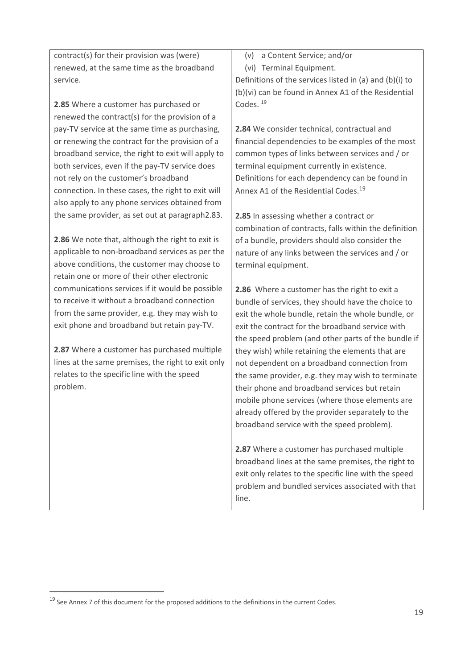contract(s) for their provision was (were) renewed, at the same time as the broadband service.

**2.85** Where a customer has purchased or renewed the contract(s) for the provision of a pay-TV service at the same time as purchasing, or renewing the contract for the provision of a broadband service, the right to exit will apply to both services, even if the pay-TV service does not rely on the customer's broadband connection. In these cases, the right to exit will also apply to any phone services obtained from the same provider, as set out at paragraph2.83.

**2.86** We note that, although the right to exit is applicable to non-broadband services as per the above conditions, the customer may choose to retain one or more of their other electronic communications services if it would be possible to receive it without a broadband connection from the same provider, e.g. they may wish to exit phone and broadband but retain pay-TV.

**2.87** Where a customer has purchased multiple lines at the same premises, the right to exit only relates to the specific line with the speed problem.

(v) a Content Service; and/or

(vi) Terminal Equipment.

Definitions of the services listed in (a) and (b)(i) to (b)(vi) can be found in Annex A1 of the Residential Codes. [19](#page-18-1)

<span id="page-18-0"></span>**2.84** We consider technical, contractual and financial dependencies to be examples of the most common types of links between services and / or terminal equipment currently in existence. Definitions for each dependency can be found in Annex A1 of the Residential Codes.<sup>[19](#page-18-0)</sup>

**2.85** In assessing whether a contract or combination of contracts, falls within the definition of a bundle, providers should also consider the nature of any links between the services and / or terminal equipment.

**2.86** Where a customer has the right to exit a bundle of services, they should have the choice to exit the whole bundle, retain the whole bundle, or exit the contract for the broadband service with the speed problem (and other parts of the bundle if they wish) while retaining the elements that are not dependent on a broadband connection from the same provider, e.g. they may wish to terminate their phone and broadband services but retain mobile phone services (where those elements are already offered by the provider separately to the broadband service with the speed problem).

**2.87** Where a customer has purchased multiple broadband lines at the same premises, the right to exit only relates to the specific line with the speed problem and bundled services associated with that line.

<span id="page-18-1"></span> $19$  See Annex 7 of this document for the proposed additions to the definitions in the current Codes.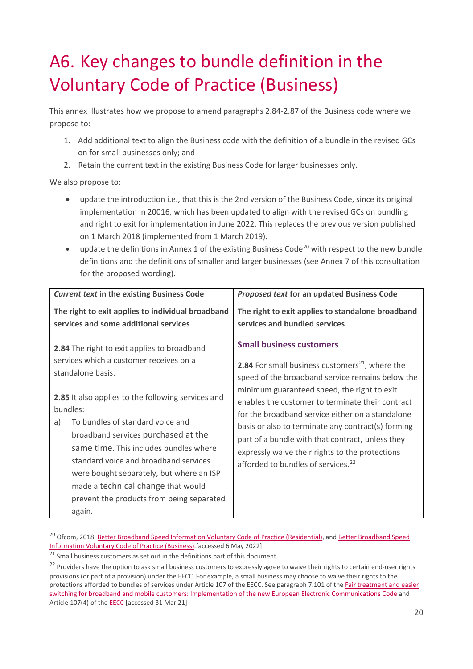# <span id="page-19-0"></span>A6. Key changes to bundle definition in the Voluntary Code of Practice (Business)

This annex illustrates how we propose to amend paragraphs 2.84-2.87 of the Business code where we propose to:

- 1. Add additional text to align the Business code with the definition of a bundle in the revised GCs on for small businesses only; and
- 2. Retain the current text in the existing Business Code for larger businesses only.

We also propose to:

- update the introduction i.e., that this is the 2nd version of the Business Code, since its original implementation in 20016, which has been updated to align with the revised GCs on bundling and right to exit for implementation in June 2022. This replaces the previous version published on 1 March 2018 (implemented from 1 March 2019).
- update the definitions in Annex 1 of the existing Business Code<sup>[20](#page-19-1)</sup> with respect to the new bundle definitions and the definitions of smaller and larger businesses (see Annex 7 of this consultation for the proposed wording).

| <b>Current text in the existing Business Code</b>                                                                                                                                                                                                                                                                                                                                                                                                                                          | <b>Proposed text</b> for an updated Business Code                                                                                                                                                                                                                                                                                                                                                                                                                                                                               |
|--------------------------------------------------------------------------------------------------------------------------------------------------------------------------------------------------------------------------------------------------------------------------------------------------------------------------------------------------------------------------------------------------------------------------------------------------------------------------------------------|---------------------------------------------------------------------------------------------------------------------------------------------------------------------------------------------------------------------------------------------------------------------------------------------------------------------------------------------------------------------------------------------------------------------------------------------------------------------------------------------------------------------------------|
| The right to exit applies to individual broadband<br>services and some additional services                                                                                                                                                                                                                                                                                                                                                                                                 | The right to exit applies to standalone broadband<br>services and bundled services                                                                                                                                                                                                                                                                                                                                                                                                                                              |
| 2.84 The right to exit applies to broadband<br>services which a customer receives on a<br>standalone basis.<br>2.85 It also applies to the following services and<br>bundles:<br>To bundles of standard voice and<br>a)<br>broadband services purchased at the<br>same time. This includes bundles where<br>standard voice and broadband services<br>were bought separately, but where an ISP<br>made a technical change that would<br>prevent the products from being separated<br>again. | <b>Small business customers</b><br><b>2.84</b> For small business customers <sup>21</sup> , where the<br>speed of the broadband service remains below the<br>minimum guaranteed speed, the right to exit<br>enables the customer to terminate their contract<br>for the broadband service either on a standalone<br>basis or also to terminate any contract(s) forming<br>part of a bundle with that contract, unless they<br>expressly waive their rights to the protections<br>afforded to bundles of services. <sup>22</sup> |

<span id="page-19-1"></span><sup>&</sup>lt;sup>20</sup> Ofcom, 2018. [Better Broadband Speed Information Voluntary Code of Practice \(Residential\),](https://www.ofcom.org.uk/__data/assets/pdf_file/0026/111698/statement-voluntary-code-practice-residential.pdf) and Better Broadband Speed [Information Voluntary Code of Practice \(Business\).\[](https://www.ofcom.org.uk/__data/assets/pdf_file/0027/111699/statement-voluntary-code-practice-business.pdf)accessed 6 May 2022]

<span id="page-19-2"></span> $21$  Small business customers as set out in the definitions part of this document

<span id="page-19-3"></span><sup>&</sup>lt;sup>22</sup> Providers have the option to ask small business customers to expressly agree to waive their rights to certain end-user rights provisions (or part of a provision) under the EECC. For example, a small business may choose to waive their rights to the protections afforded to bundles of services under Article 107 of the EECC. See paragraph 7.101 of th[e Fair treatment and easier](https://www.ofcom.org.uk/__data/assets/pdf_file/0023/204980/statement-eecc-revised-proposals.pdf)  [switching for broadband and mobile customers: Implementation of the new European Electronic Communications Code](https://www.ofcom.org.uk/__data/assets/pdf_file/0023/204980/statement-eecc-revised-proposals.pdf) and Article 107(4) of th[e EECC](https://eur-lex.europa.eu/legal-content/EN/TXT/PDF/?uri=CELEX:32018L1972) [accessed 31 Mar 21]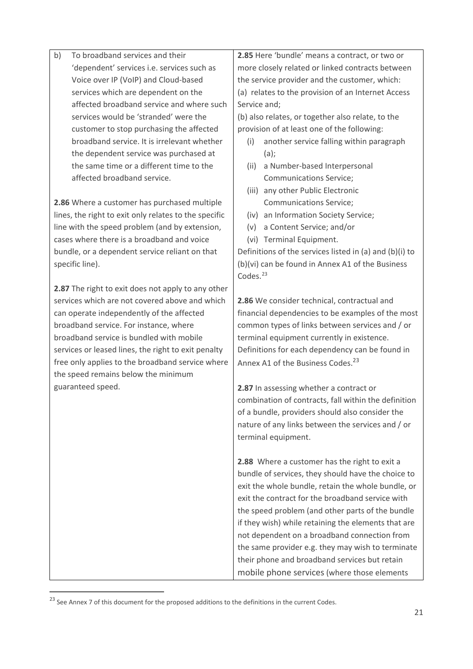<span id="page-20-0"></span>

| b) | To broadband services and their                       |                      | 2.85 Here 'bundle' means a contract, or two or          |
|----|-------------------------------------------------------|----------------------|---------------------------------------------------------|
|    | 'dependent' services i.e. services such as            |                      | more closely related or linked contracts between        |
|    | Voice over IP (VoIP) and Cloud-based                  |                      | the service provider and the customer, which:           |
|    | services which are dependent on the                   |                      | (a) relates to the provision of an Internet Access      |
|    | affected broadband service and where such             | Service and;         |                                                         |
|    | services would be 'stranded' were the                 |                      | (b) also relates, or together also relate, to the       |
|    | customer to stop purchasing the affected              |                      | provision of at least one of the following:             |
|    | broadband service. It is irrelevant whether           | (i)                  | another service falling within paragraph                |
|    | the dependent service was purchased at                |                      | $(a)$ ;                                                 |
|    | the same time or a different time to the              | (ii)                 | a Number-based Interpersonal                            |
|    | affected broadband service.                           |                      | <b>Communications Service;</b>                          |
|    |                                                       |                      | (iii) any other Public Electronic                       |
|    | 2.86 Where a customer has purchased multiple          |                      | <b>Communications Service;</b>                          |
|    | lines, the right to exit only relates to the specific |                      | (iv) an Information Society Service;                    |
|    | line with the speed problem (and by extension,        | (v)                  | a Content Service; and/or                               |
|    | cases where there is a broadband and voice            |                      | (vi) Terminal Equipment.                                |
|    | bundle, or a dependent service reliant on that        |                      | Definitions of the services listed in (a) and (b)(i) to |
|    | specific line).                                       |                      | (b)(vi) can be found in Annex A1 of the Business        |
|    |                                                       | Codes. <sup>23</sup> |                                                         |
|    | 2.87 The right to exit does not apply to any other    |                      |                                                         |
|    | services which are not covered above and which        |                      | 2.86 We consider technical, contractual and             |
|    | can operate independently of the affected             |                      | financial dependencies to be examples of the most       |
|    | broadband service. For instance, where                |                      | common types of links between services and / or         |
|    | broadband service is bundled with mobile              |                      | terminal equipment currently in existence.              |
|    | services or leased lines, the right to exit penalty   |                      | Definitions for each dependency can be found in         |
|    | free only applies to the broadband service where      |                      | Annex A1 of the Business Codes. <sup>23</sup>           |
|    | the speed remains below the minimum                   |                      |                                                         |
|    | guaranteed speed.                                     |                      | 2.87 In assessing whether a contract or                 |
|    |                                                       |                      | combination of contracts, fall within the definition    |
|    |                                                       |                      | of a bundle, providers should also consider the         |
|    |                                                       |                      | nature of any links between the services and / or       |
|    |                                                       |                      | terminal equipment.                                     |
|    |                                                       |                      |                                                         |
|    |                                                       |                      | 2.88 Where a customer has the right to exit a           |
|    |                                                       |                      | bundle of services, they should have the choice to      |
|    |                                                       |                      | exit the whole bundle, retain the whole bundle, or      |
|    |                                                       |                      | exit the contract for the broadband service with        |
|    |                                                       |                      | the speed problem (and other parts of the bundle        |
|    |                                                       |                      | if they wish) while retaining the elements that are     |
|    |                                                       |                      | not dependent on a broadband connection from            |
|    |                                                       |                      | the same provider e.g. they may wish to terminate       |
|    |                                                       |                      | their phone and broadband services but retain           |
|    |                                                       |                      | mobile phone services (where those elements             |

<span id="page-20-1"></span> $^{23}$  See Annex 7 of this document for the proposed additions to the definitions in the current Codes.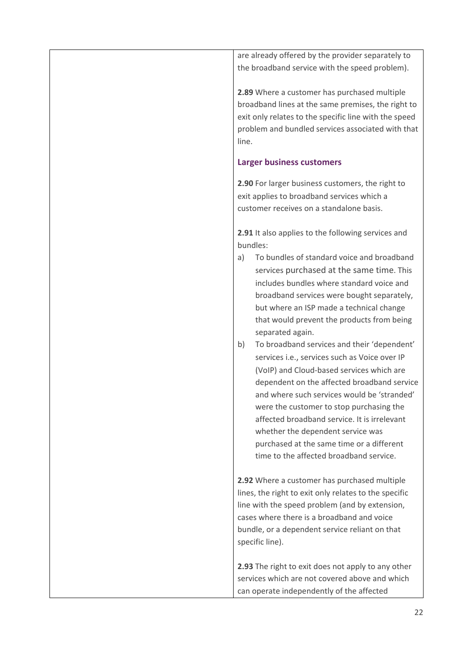are already offered by the provider separately to the broadband service with the speed problem).

**2.89** Where a customer has purchased multiple broadband lines at the same premises, the right to exit only relates to the specific line with the speed problem and bundled services associated with that line.

#### **Larger business customers**

**2.90** For larger business customers, the right to exit applies to broadband services which a customer receives on a standalone basis.

**2.91** It also applies to the following services and bundles:

- a) To bundles of standard voice and broadband services purchased at the same time. This includes bundles where standard voice and broadband services were bought separately, but where an ISP made a technical change that would prevent the products from being separated again.
- b) To broadband services and their 'dependent' services i.e., services such as Voice over IP (VoIP) and Cloud-based services which are dependent on the affected broadband service and where such services would be 'stranded' were the customer to stop purchasing the affected broadband service. It is irrelevant whether the dependent service was purchased at the same time or a different time to the affected broadband service.

**2.92** Where a customer has purchased multiple lines, the right to exit only relates to the specific line with the speed problem (and by extension, cases where there is a broadband and voice bundle, or a dependent service reliant on that specific line).

**2.93** The right to exit does not apply to any other services which are not covered above and which can operate independently of the affected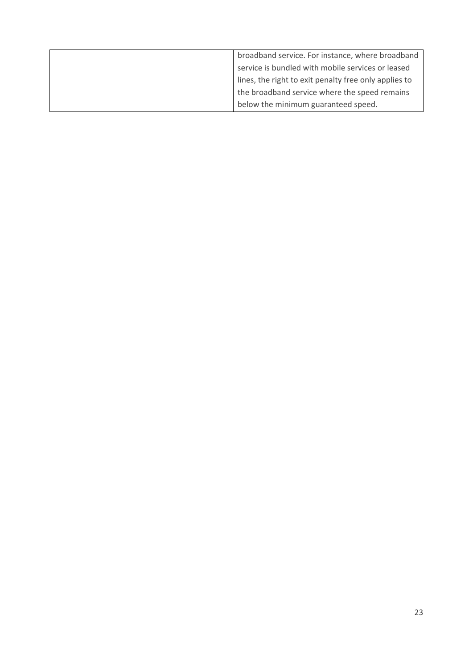| broadband service. For instance, where broadband      |
|-------------------------------------------------------|
| service is bundled with mobile services or leased     |
| lines, the right to exit penalty free only applies to |
| the broadband service where the speed remains         |
| below the minimum guaranteed speed.                   |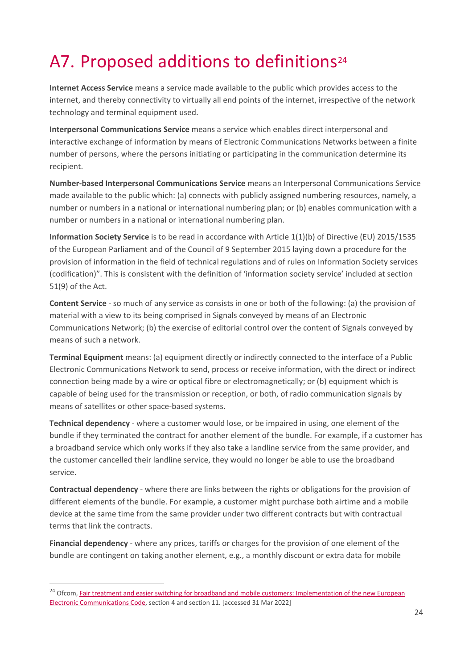# <span id="page-23-0"></span>A7. Proposed additions to definitions<sup>[24](#page-23-1)</sup>

**Internet Access Service** means a service made available to the public which provides access to the internet, and thereby connectivity to virtually all end points of the internet, irrespective of the network technology and terminal equipment used.

**Interpersonal Communications Service** means a service which enables direct interpersonal and interactive exchange of information by means of Electronic Communications Networks between a finite number of persons, where the persons initiating or participating in the communication determine its recipient.

**Number-based Interpersonal Communications Service** means an Interpersonal Communications Service made available to the public which: (a) connects with publicly assigned numbering resources, namely, a number or numbers in a national or international numbering plan; or (b) enables communication with a number or numbers in a national or international numbering plan.

**Information Society Service** is to be read in accordance with Article 1(1)(b) of Directive (EU) 2015/1535 of the European Parliament and of the Council of 9 September 2015 laying down a procedure for the provision of information in the field of technical regulations and of rules on Information Society services (codification)". This is consistent with the definition of 'information society service' included at section 51(9) of the Act.

**Content Service** - so much of any service as consists in one or both of the following: (a) the provision of material with a view to its being comprised in Signals conveyed by means of an Electronic Communications Network; (b) the exercise of editorial control over the content of Signals conveyed by means of such a network.

**Terminal Equipment** means: (a) equipment directly or indirectly connected to the interface of a Public Electronic Communications Network to send, process or receive information, with the direct or indirect connection being made by a wire or optical fibre or electromagnetically; or (b) equipment which is capable of being used for the transmission or reception, or both, of radio communication signals by means of satellites or other space-based systems.

**Technical dependency** - where a customer would lose, or be impaired in using, one element of the bundle if they terminated the contract for another element of the bundle. For example, if a customer has a broadband service which only works if they also take a landline service from the same provider, and the customer cancelled their landline service, they would no longer be able to use the broadband service.

**Contractual dependency** - where there are links between the rights or obligations for the provision of different elements of the bundle. For example, a customer might purchase both airtime and a mobile device at the same time from the same provider under two different contracts but with contractual terms that link the contracts.

**Financial dependency** - where any prices, tariffs or charges for the provision of one element of the bundle are contingent on taking another element, e.g., a monthly discount or extra data for mobile

<span id="page-23-1"></span><sup>&</sup>lt;sup>24</sup> Ofcom, Fair treatment and easier switching for broadband and mobile customers: Implementation of the new European [Electronic Communications Code,](https://www.ofcom.org.uk/__data/assets/pdf_file/0023/204980/statement-eecc-revised-proposals.pdf) section 4 and section 11. [accessed 31 Mar 2022]